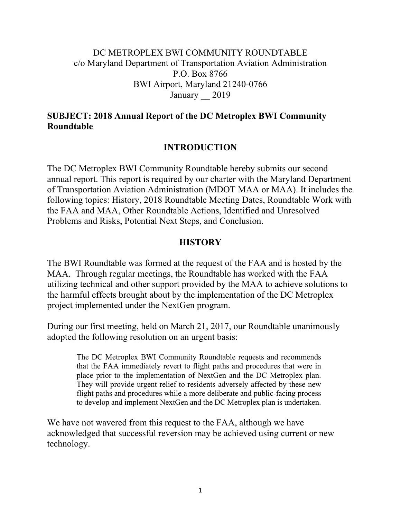### DC METROPLEX BWI COMMUNITY ROUNDTABLE c/o Maryland Department of Transportation Aviation Administration P.O. Box 8766 BWI Airport, Maryland 21240-0766 January 2019

### **SUBJECT: 2018 Annual Report of the DC Metroplex BWI Community Roundtable**

### **INTRODUCTION**

The DC Metroplex BWI Community Roundtable hereby submits our second annual report. This report is required by our charter with the Maryland Department of Transportation Aviation Administration (MDOT MAA or MAA). It includes the following topics: History, 2018 Roundtable Meeting Dates, Roundtable Work with the FAA and MAA, Other Roundtable Actions, Identified and Unresolved Problems and Risks, Potential Next Steps, and Conclusion.

### **HISTORY**

The BWI Roundtable was formed at the request of the FAA and is hosted by the MAA. Through regular meetings, the Roundtable has worked with the FAA utilizing technical and other support provided by the MAA to achieve solutions to the harmful effects brought about by the implementation of the DC Metroplex project implemented under the NextGen program.

During our first meeting, held on March 21, 2017, our Roundtable unanimously adopted the following resolution on an urgent basis:

> The DC Metroplex BWI Community Roundtable requests and recommends that the FAA immediately revert to flight paths and procedures that were in place prior to the implementation of NextGen and the DC Metroplex plan. They will provide urgent relief to residents adversely affected by these new flight paths and procedures while a more deliberate and public-facing process to develop and implement NextGen and the DC Metroplex plan is undertaken.

We have not wavered from this request to the FAA, although we have acknowledged that successful reversion may be achieved using current or new technology.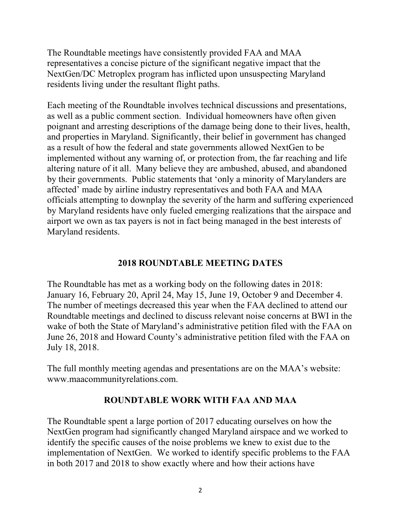The Roundtable meetings have consistently provided FAA and MAA representatives a concise picture of the significant negative impact that the NextGen/DC Metroplex program has inflicted upon unsuspecting Maryland residents living under the resultant flight paths.

Each meeting of the Roundtable involves technical discussions and presentations, as well as a public comment section. Individual homeowners have often given poignant and arresting descriptions of the damage being done to their lives, health, and properties in Maryland. Significantly, their belief in government has changed as a result of how the federal and state governments allowed NextGen to be implemented without any warning of, or protection from, the far reaching and life altering nature of it all. Many believe they are ambushed, abused, and abandoned by their governments. Public statements that 'only a minority of Marylanders are affected' made by airline industry representatives and both FAA and MAA officials attempting to downplay the severity of the harm and suffering experienced by Maryland residents have only fueled emerging realizations that the airspace and airport we own as tax payers is not in fact being managed in the best interests of Maryland residents.

### **2018 ROUNDTABLE MEETING DATES**

The Roundtable has met as a working body on the following dates in 2018: January 16, February 20, April 24, May 15, June 19, October 9 and December 4. The number of meetings decreased this year when the FAA declined to attend our Roundtable meetings and declined to discuss relevant noise concerns at BWI in the wake of both the State of Maryland's administrative petition filed with the FAA on June 26, 2018 and Howard County's administrative petition filed with the FAA on July 18, 2018.

The full monthly meeting agendas and presentations are on the MAA's website: www.maacommunityrelations.com.

### **ROUNDTABLE WORK WITH FAA AND MAA**

The Roundtable spent a large portion of 2017 educating ourselves on how the NextGen program had significantly changed Maryland airspace and we worked to identify the specific causes of the noise problems we knew to exist due to the implementation of NextGen. We worked to identify specific problems to the FAA in both 2017 and 2018 to show exactly where and how their actions have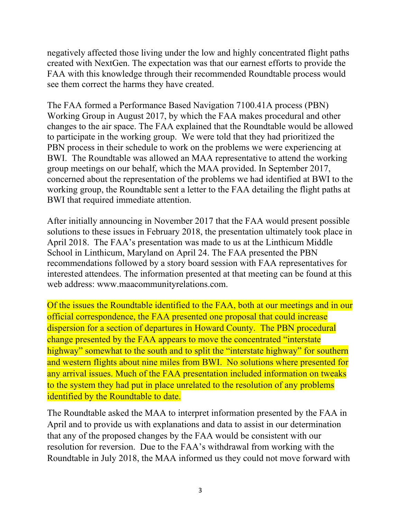negatively affected those living under the low and highly concentrated flight paths created with NextGen. The expectation was that our earnest efforts to provide the FAA with this knowledge through their recommended Roundtable process would see them correct the harms they have created.

The FAA formed a Performance Based Navigation 7100.41A process (PBN) Working Group in August 2017, by which the FAA makes procedural and other changes to the air space. The FAA explained that the Roundtable would be allowed to participate in the working group. We were told that they had prioritized the PBN process in their schedule to work on the problems we were experiencing at BWI. The Roundtable was allowed an MAA representative to attend the working group meetings on our behalf, which the MAA provided. In September 2017, concerned about the representation of the problems we had identified at BWI to the working group, the Roundtable sent a letter to the FAA detailing the flight paths at BWI that required immediate attention.

After initially announcing in November 2017 that the FAA would present possible solutions to these issues in February 2018, the presentation ultimately took place in April 2018. The FAA's presentation was made to us at the Linthicum Middle School in Linthicum, Maryland on April 24. The FAA presented the PBN recommendations followed by a story board session with FAA representatives for interested attendees. The information presented at that meeting can be found at this web address: www.maacommunityrelations.com.

Of the issues the Roundtable identified to the FAA, both at our meetings and in our official correspondence, the FAA presented one proposal that could increase dispersion for a section of departures in Howard County. The PBN procedural change presented by the FAA appears to move the concentrated "interstate highway" somewhat to the south and to split the "interstate highway" for southern and western flights about nine miles from BWI. No solutions where presented for any arrival issues. Much of the FAA presentation included information on tweaks to the system they had put in place unrelated to the resolution of any problems identified by the Roundtable to date.

The Roundtable asked the MAA to interpret information presented by the FAA in April and to provide us with explanations and data to assist in our determination that any of the proposed changes by the FAA would be consistent with our resolution for reversion. Due to the FAA's withdrawal from working with the Roundtable in July 2018, the MAA informed us they could not move forward with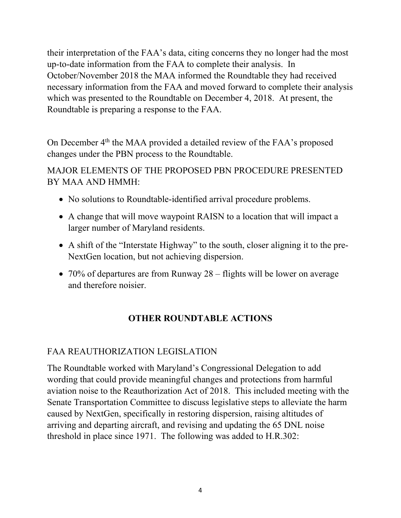their interpretation of the FAA's data, citing concerns they no longer had the most up-to-date information from the FAA to complete their analysis. In October/November 2018 the MAA informed the Roundtable they had received necessary information from the FAA and moved forward to complete their analysis which was presented to the Roundtable on December 4, 2018. At present, the Roundtable is preparing a response to the FAA.

On December 4<sup>th</sup> the MAA provided a detailed review of the FAA's proposed changes under the PBN process to the Roundtable.

MAJOR ELEMENTS OF THE PROPOSED PBN PROCEDURE PRESENTED BY MAA AND HMMH:

- No solutions to Roundtable-identified arrival procedure problems.
- A change that will move waypoint RAISN to a location that will impact a larger number of Maryland residents.
- A shift of the "Interstate Highway" to the south, closer aligning it to the pre-NextGen location, but not achieving dispersion.
- 70% of departures are from Runway  $28 -$  flights will be lower on average and therefore noisier.

# **OTHER ROUNDTABLE ACTIONS**

## FAA REAUTHORIZATION LEGISLATION

The Roundtable worked with Maryland's Congressional Delegation to add wording that could provide meaningful changes and protections from harmful aviation noise to the Reauthorization Act of 2018. This included meeting with the Senate Transportation Committee to discuss legislative steps to alleviate the harm caused by NextGen, specifically in restoring dispersion, raising altitudes of arriving and departing aircraft, and revising and updating the 65 DNL noise threshold in place since 1971. The following was added to H.R.302: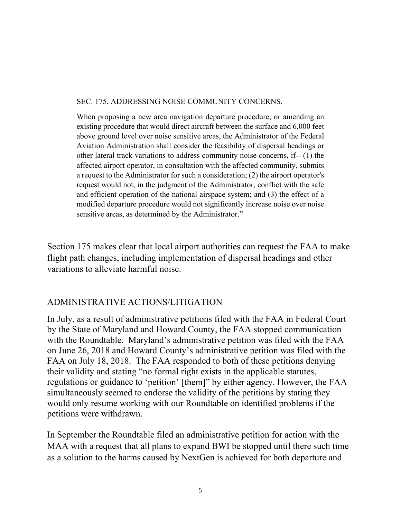#### SEC. 175. ADDRESSING NOISE COMMUNITY CONCERNS.

When proposing a new area navigation departure procedure, or amending an existing procedure that would direct aircraft between the surface and 6,000 feet above ground level over noise sensitive areas, the Administrator of the Federal Aviation Administration shall consider the feasibility of dispersal headings or other lateral track variations to address community noise concerns, if-- (1) the affected airport operator, in consultation with the affected community, submits a request to the Administrator for such a consideration; (2) the airport operator's request would not, in the judgment of the Administrator, conflict with the safe and efficient operation of the national airspace system; and (3) the effect of a modified departure procedure would not significantly increase noise over noise sensitive areas, as determined by the Administrator."

Section 175 makes clear that local airport authorities can request the FAA to make flight path changes, including implementation of dispersal headings and other variations to alleviate harmful noise.

### ADMINISTRATIVE ACTIONS/LITIGATION

In July, as a result of administrative petitions filed with the FAA in Federal Court by the State of Maryland and Howard County, the FAA stopped communication with the Roundtable. Maryland's administrative petition was filed with the FAA on June 26, 2018 and Howard County's administrative petition was filed with the FAA on July 18, 2018. The FAA responded to both of these petitions denying their validity and stating "no formal right exists in the applicable statutes, regulations or guidance to 'petition' [them]" by either agency. However, the FAA simultaneously seemed to endorse the validity of the petitions by stating they would only resume working with our Roundtable on identified problems if the petitions were withdrawn.

In September the Roundtable filed an administrative petition for action with the MAA with a request that all plans to expand BWI be stopped until there such time as a solution to the harms caused by NextGen is achieved for both departure and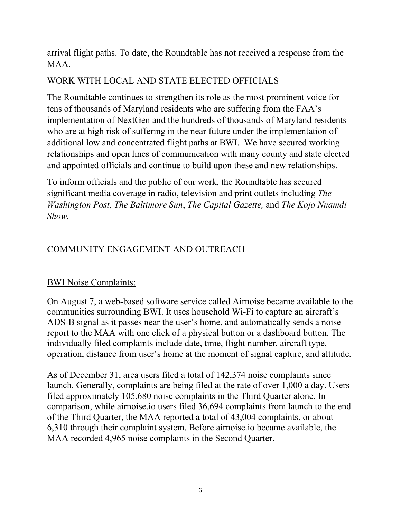arrival flight paths. To date, the Roundtable has not received a response from the MAA.

## WORK WITH LOCAL AND STATE ELECTED OFFICIALS

The Roundtable continues to strengthen its role as the most prominent voice for tens of thousands of Maryland residents who are suffering from the FAA's implementation of NextGen and the hundreds of thousands of Maryland residents who are at high risk of suffering in the near future under the implementation of additional low and concentrated flight paths at BWI. We have secured working relationships and open lines of communication with many county and state elected and appointed officials and continue to build upon these and new relationships.

To inform officials and the public of our work, the Roundtable has secured significant media coverage in radio, television and print outlets including *The Washington Post*, *The Baltimore Sun*, *The Capital Gazette,* and *The Kojo Nnamdi Show.*

## COMMUNITY ENGAGEMENT AND OUTREACH

### BWI Noise Complaints:

On August 7, a web-based software service called Airnoise became available to the communities surrounding BWI. It uses household Wi-Fi to capture an aircraft's ADS-B signal as it passes near the user's home, and automatically sends a noise report to the MAA with one click of a physical button or a dashboard button. The individually filed complaints include date, time, flight number, aircraft type, operation, distance from user's home at the moment of signal capture, and altitude.

As of December 31, area users filed a total of 142,374 noise complaints since launch. Generally, complaints are being filed at the rate of over 1,000 a day. Users filed approximately 105,680 noise complaints in the Third Quarter alone. In comparison, while airnoise.io users filed 36,694 complaints from launch to the end of the Third Quarter, the MAA reported a total of 43,004 complaints, or about 6,310 through their complaint system. Before airnoise.io became available, the MAA recorded 4,965 noise complaints in the Second Quarter.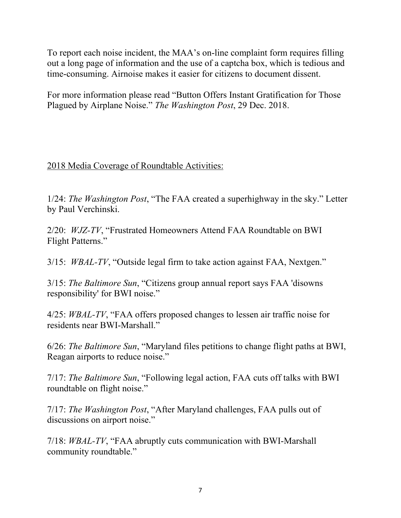To report each noise incident, the MAA's on-line complaint form requires filling out a long page of information and the use of a captcha box, which is tedious and time-consuming. Airnoise makes it easier for citizens to document dissent.

For more information please read "Button Offers Instant Gratification for Those Plagued by Airplane Noise." *The Washington Post*, 29 Dec. 2018.

2018 Media Coverage of Roundtable Activities:

1/24: *The Washington Post*, "The FAA created a superhighway in the sky." Letter by Paul Verchinski.

2/20: *WJZ-TV*, "Frustrated Homeowners Attend FAA Roundtable on BWI Flight Patterns."

3/15: *WBAL-TV*, "Outside legal firm to take action against FAA, Nextgen."

3/15: *The Baltimore Sun*, "Citizens group annual report says FAA 'disowns responsibility' for BWI noise."

4/25: *WBAL-TV*, "FAA offers proposed changes to lessen air traffic noise for residents near BWI-Marshall."

6/26: *The Baltimore Sun*, "Maryland files petitions to change flight paths at BWI, Reagan airports to reduce noise."

7/17: *The Baltimore Sun*, "Following legal action, FAA cuts off talks with BWI roundtable on flight noise."

7/17: *The Washington Post*, "After Maryland challenges, FAA pulls out of discussions on airport noise."

7/18: *WBAL-TV*, "FAA abruptly cuts communication with BWI-Marshall community roundtable."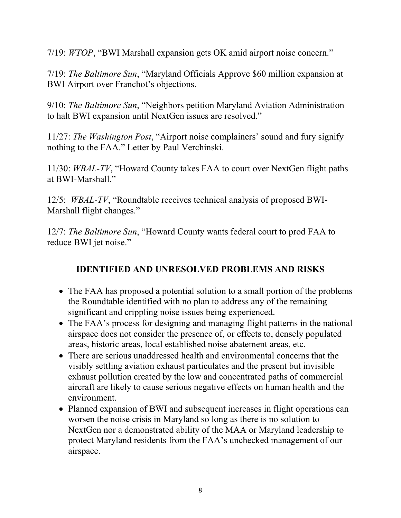7/19: *WTOP*, "BWI Marshall expansion gets OK amid airport noise concern."

7/19: *The Baltimore Sun*, "Maryland Officials Approve \$60 million expansion at BWI Airport over Franchot's objections.

9/10: *The Baltimore Sun*, "Neighbors petition Maryland Aviation Administration to halt BWI expansion until NextGen issues are resolved."

11/27: *The Washington Post*, "Airport noise complainers' sound and fury signify nothing to the FAA." Letter by Paul Verchinski.

11/30: *WBAL-TV*, "Howard County takes FAA to court over NextGen flight paths at BWI-Marshall."

12/5: *WBAL-TV*, "Roundtable receives technical analysis of proposed BWI-Marshall flight changes."

12/7: *The Baltimore Sun*, "Howard County wants federal court to prod FAA to reduce BWI jet noise."

## **IDENTIFIED AND UNRESOLVED PROBLEMS AND RISKS**

- The FAA has proposed a potential solution to a small portion of the problems the Roundtable identified with no plan to address any of the remaining significant and crippling noise issues being experienced.
- The FAA's process for designing and managing flight patterns in the national airspace does not consider the presence of, or effects to, densely populated areas, historic areas, local established noise abatement areas, etc.
- There are serious unaddressed health and environmental concerns that the visibly settling aviation exhaust particulates and the present but invisible exhaust pollution created by the low and concentrated paths of commercial aircraft are likely to cause serious negative effects on human health and the environment.
- Planned expansion of BWI and subsequent increases in flight operations can worsen the noise crisis in Maryland so long as there is no solution to NextGen nor a demonstrated ability of the MAA or Maryland leadership to protect Maryland residents from the FAA's unchecked management of our airspace.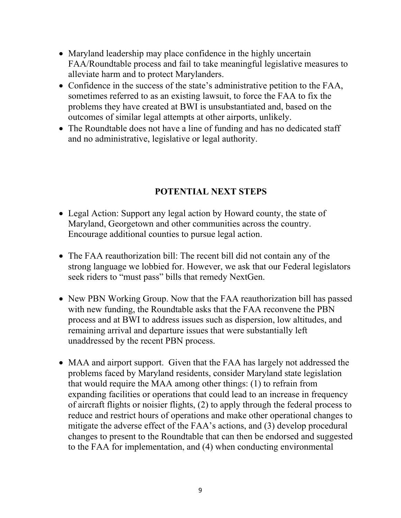- Maryland leadership may place confidence in the highly uncertain FAA/Roundtable process and fail to take meaningful legislative measures to alleviate harm and to protect Marylanders.
- Confidence in the success of the state's administrative petition to the FAA, sometimes referred to as an existing lawsuit, to force the FAA to fix the problems they have created at BWI is unsubstantiated and, based on the outcomes of similar legal attempts at other airports, unlikely.
- The Roundtable does not have a line of funding and has no dedicated staff and no administrative, legislative or legal authority.

## **POTENTIAL NEXT STEPS**

- Legal Action: Support any legal action by Howard county, the state of Maryland, Georgetown and other communities across the country. Encourage additional counties to pursue legal action.
- The FAA reauthorization bill: The recent bill did not contain any of the strong language we lobbied for. However, we ask that our Federal legislators seek riders to "must pass" bills that remedy NextGen.
- New PBN Working Group. Now that the FAA reauthorization bill has passed with new funding, the Roundtable asks that the FAA reconvene the PBN process and at BWI to address issues such as dispersion, low altitudes, and remaining arrival and departure issues that were substantially left unaddressed by the recent PBN process.
- MAA and airport support. Given that the FAA has largely not addressed the problems faced by Maryland residents, consider Maryland state legislation that would require the MAA among other things: (1) to refrain from expanding facilities or operations that could lead to an increase in frequency of aircraft flights or noisier flights, (2) to apply through the federal process to reduce and restrict hours of operations and make other operational changes to mitigate the adverse effect of the FAA's actions, and (3) develop procedural changes to present to the Roundtable that can then be endorsed and suggested to the FAA for implementation, and (4) when conducting environmental